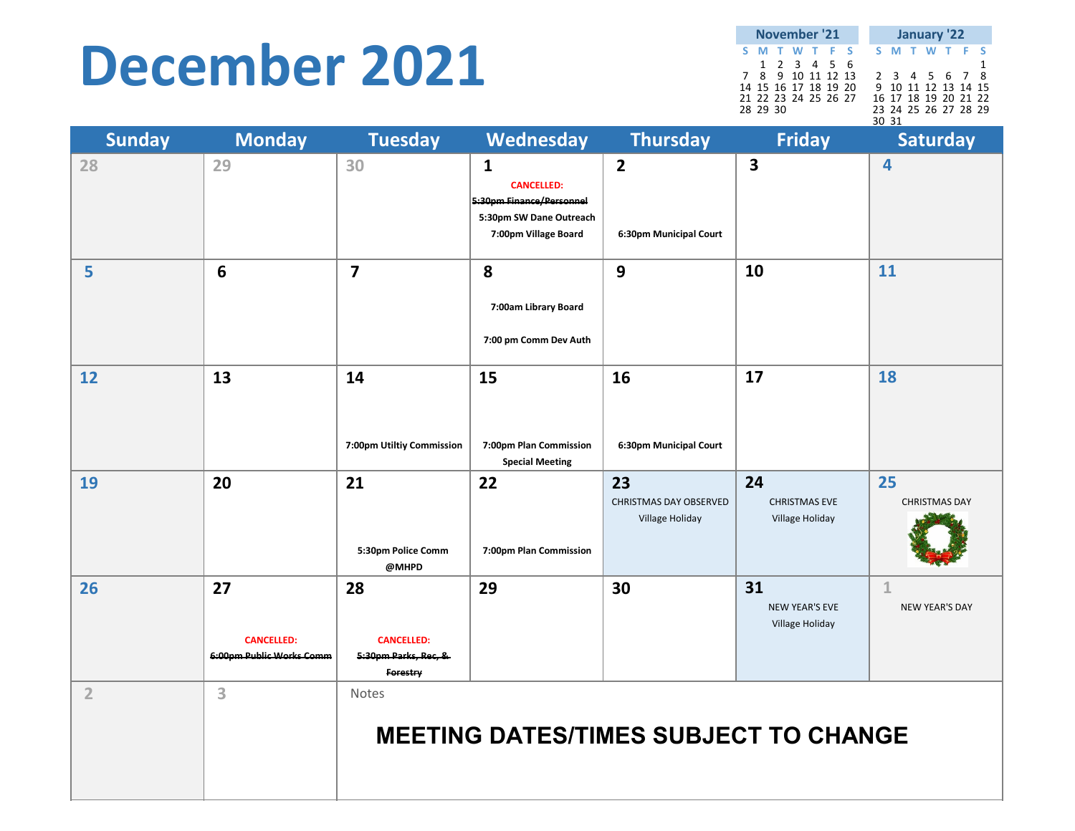#### **December 2021**

**SMTWT F S SMTWT F S**123456 1 7 8 9 10 11 12 13 2 3 4 5 6 7 8 14 15 16 17 18 19 20 9 10 11 12 13 14 1516 17 18 19 20 21 22 21 22 23 24 25 26 27 28 29 30 23 24 25 26 27 28 29 30 31**November'21 January '22**

| <b>Sunday</b>  | <b>Monday</b>                                       | <b>Tuesday</b>                                              | Wednesday                                                                                                        | <b>Thursday</b>                                        | <b>Friday</b>                                  | <b>Saturday</b>                       |
|----------------|-----------------------------------------------------|-------------------------------------------------------------|------------------------------------------------------------------------------------------------------------------|--------------------------------------------------------|------------------------------------------------|---------------------------------------|
| 28             | 29                                                  | 30                                                          | $\mathbf{1}$<br><b>CANCELLED:</b><br>5:30pm Finance/Personnel<br>5:30pm SW Dane Outreach<br>7:00pm Village Board | $\mathbf{2}$<br>6:30pm Municipal Court                 | $\overline{\mathbf{3}}$                        | 4                                     |
| 5              | 6                                                   | $\overline{7}$                                              | 8<br>7:00am Library Board<br>7:00 pm Comm Dev Auth                                                               | 9                                                      | 10                                             | 11                                    |
| 12             | 13                                                  | 14<br>7:00pm Utiltiy Commission                             | 15<br>7:00pm Plan Commission<br><b>Special Meeting</b>                                                           | 16<br>6:30pm Municipal Court                           | 17                                             | 18                                    |
| 19             | 20                                                  | 21<br>5:30pm Police Comm<br>@MHPD                           | 22<br>7:00pm Plan Commission                                                                                     | 23<br><b>CHRISTMAS DAY OBSERVED</b><br>Village Holiday | 24<br><b>CHRISTMAS EVE</b><br>Village Holiday  | 25<br><b>CHRISTMAS DAY</b>            |
| 26             | 27<br><b>CANCELLED:</b><br>6:00pm Public Works Comm | 28<br><b>CANCELLED:</b><br>5:30pm Parks, Rec, &<br>Forestry | 29                                                                                                               | 30                                                     | 31<br><b>NEW YEAR'S EVE</b><br>Village Holiday | $\mathbf{1}$<br><b>NEW YEAR'S DAY</b> |
| $\overline{2}$ | 3                                                   | Notes                                                       | <b>MEETING DATES/TIMES SUBJECT TO CHANGE</b>                                                                     |                                                        |                                                |                                       |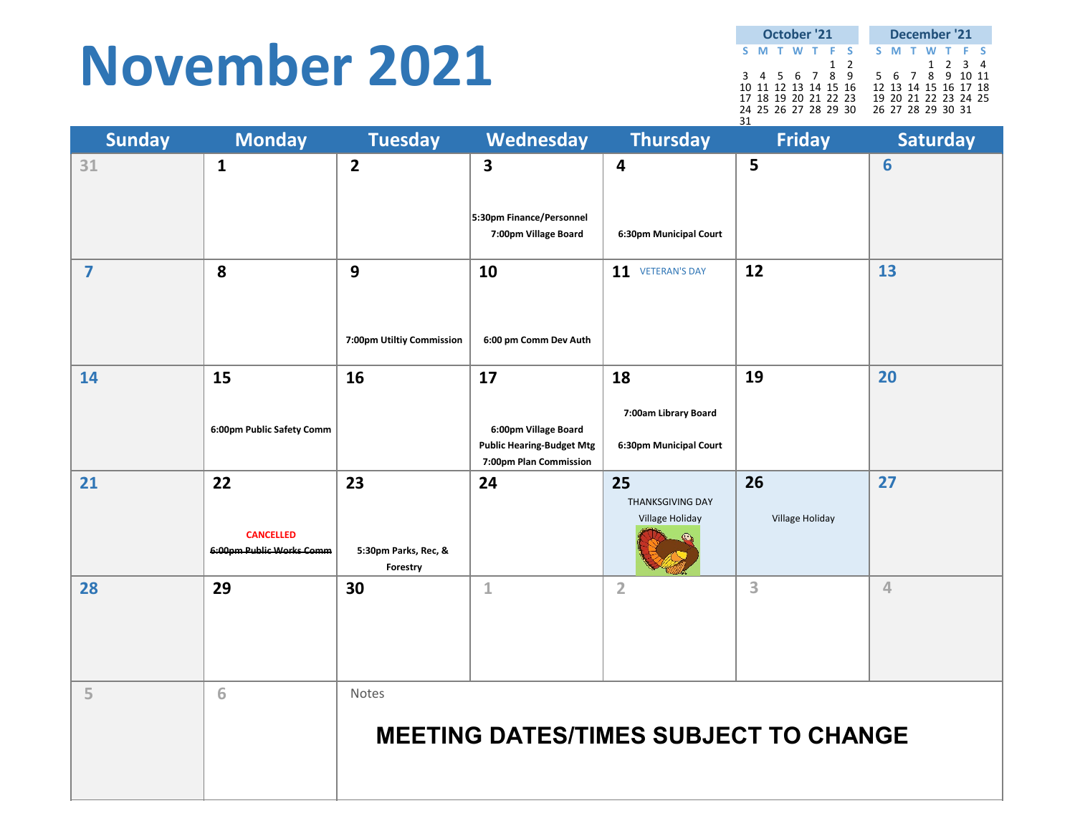#### **November 2021**

|  | October '21          |   |               |  |  | December '21         |  |
|--|----------------------|---|---------------|--|--|----------------------|--|
|  | S M T W T F S        |   |               |  |  | S M T W T F S        |  |
|  |                      | 1 | $\mathcal{P}$ |  |  | 1 2 3 4              |  |
|  | 3 4 5 6 7 8 9        |   |               |  |  | 5 6 7 8 9 10 11      |  |
|  | 10 11 12 13 14 15 16 |   |               |  |  | 12 13 14 15 16 17 18 |  |
|  | 17 18 19 20 21 22 23 |   |               |  |  | 19 20 21 22 23 24 25 |  |
|  | 24 25 26 27 28 29 30 |   |               |  |  | 26 27 28 29 30 31    |  |
|  |                      |   |               |  |  |                      |  |

| <b>Sunday</b>  | <b>Monday</b>                                      | <b>Tuesday</b>                         | Wednesday                                                                                | <b>Thursday</b>                                      | <b>Friday</b>         | <b>Saturday</b> |
|----------------|----------------------------------------------------|----------------------------------------|------------------------------------------------------------------------------------------|------------------------------------------------------|-----------------------|-----------------|
| 31             | $\mathbf{1}$                                       | $\overline{2}$                         | 3<br>5:30pm Finance/Personnel<br>7:00pm Village Board                                    | 4<br>6:30pm Municipal Court                          | 5                     | 6               |
| $\overline{7}$ | 8                                                  | 9<br>7:00pm Utiltiy Commission         | 10<br>6:00 pm Comm Dev Auth                                                              | 11 VETERAN'S DAY                                     | 12                    | 13              |
| 14             | 15<br>6:00pm Public Safety Comm                    | 16                                     | 17<br>6:00pm Village Board<br><b>Public Hearing-Budget Mtg</b><br>7:00pm Plan Commission | 18<br>7:00am Library Board<br>6:30pm Municipal Court | 19                    | 20              |
| 21             | 22<br><b>CANCELLED</b><br>6:00pm Public Works Comm | 23<br>5:30pm Parks, Rec, &<br>Forestry | 24                                                                                       | 25<br><b>THANKSGIVING DAY</b><br>Village Holiday     | 26<br>Village Holiday | 27              |
| 28             | 29                                                 | 30                                     | $\mathbf 1$                                                                              | $\overline{2}$                                       | 3                     | $\overline{4}$  |
| 5              | 6                                                  | Notes                                  | <b>MEETING DATES/TIMES SUBJECT TO CHANGE</b>                                             |                                                      |                       |                 |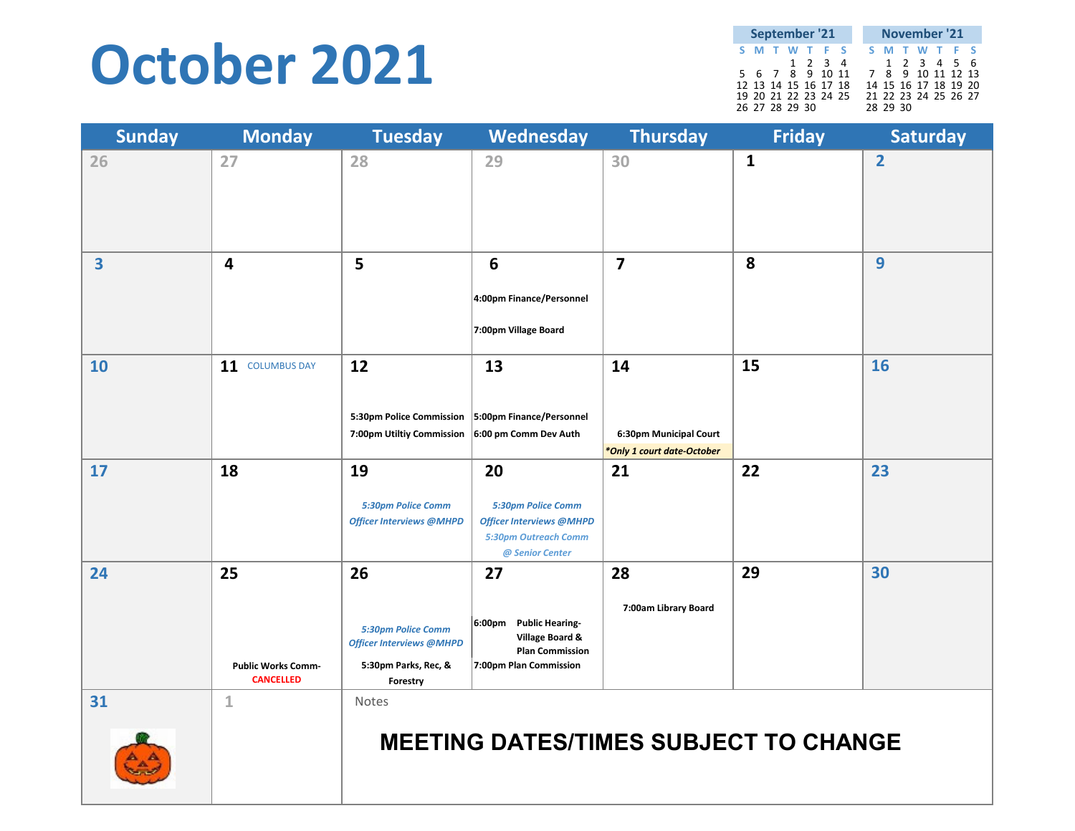#### **October 2021**

|  |                | September '21        |                 | November '21      |          |  |  |                      |  |  |
|--|----------------|----------------------|-----------------|-------------------|----------|--|--|----------------------|--|--|
|  |                | S M T W T F S        |                 |                   |          |  |  | S M T W T F S        |  |  |
|  |                |                      | $1 \t2 \t3 \t4$ |                   |          |  |  | 1 2 3 4 5 6          |  |  |
|  |                | 5 6 7 8 9 10 11      |                 | 7 8 9 10 11 12 13 |          |  |  |                      |  |  |
|  |                | 12 13 14 15 16 17 18 |                 |                   |          |  |  | 14 15 16 17 18 19 20 |  |  |
|  | 26 27 28 29 30 | 19 20 21 22 23 24 25 |                 |                   | 28 29 30 |  |  | 21 22 23 24 25 26 27 |  |  |

| <b>Sunday</b> | <b>Monday</b>                                       | <b>Tuesday</b>                                                                                  | Wednesday                                                                                                     | <b>Thursday</b>                                            | <b>Friday</b> | <b>Saturday</b> |
|---------------|-----------------------------------------------------|-------------------------------------------------------------------------------------------------|---------------------------------------------------------------------------------------------------------------|------------------------------------------------------------|---------------|-----------------|
| 26            | 27                                                  | 28                                                                                              | 29                                                                                                            | 30                                                         | $\mathbf{1}$  | $\overline{2}$  |
| 3             | 4                                                   | 5                                                                                               | 6<br>4:00pm Finance/Personnel<br>7:00pm Village Board                                                         | $\overline{7}$                                             | 8             | 9               |
| 10            | 11 COLUMBUS DAY                                     | 12<br>5:30pm Police Commission<br>7:00pm Utiltiy Commission                                     | 13<br>5:00pm Finance/Personnel<br>6:00 pm Comm Dev Auth                                                       | 14<br>6:30pm Municipal Court<br>*Only 1 court date-October | 15            | <b>16</b>       |
| 17            | 18                                                  | 19<br>5:30pm Police Comm<br><b>Officer Interviews @MHPD</b>                                     | 20<br>5:30pm Police Comm<br><b>Officer Interviews @MHPD</b><br><b>5:30pm Outreach Comm</b><br>@ Senior Center | 21                                                         | 22            | 23              |
| 24            | 25<br><b>Public Works Comm-</b><br><b>CANCELLED</b> | 26<br>5:30pm Police Comm<br><b>Officer Interviews @MHPD</b><br>5:30pm Parks, Rec, &<br>Forestry | 27<br><b>Public Hearing-</b><br>6:00pm<br>Village Board &<br><b>Plan Commission</b><br>7:00pm Plan Commission | 28<br>7:00am Library Board                                 | 29            | 30              |
| 31            | $\mathbf{1}$                                        | Notes                                                                                           | <b>MEETING DATES/TIMES SUBJECT TO CHANGE</b>                                                                  |                                                            |               |                 |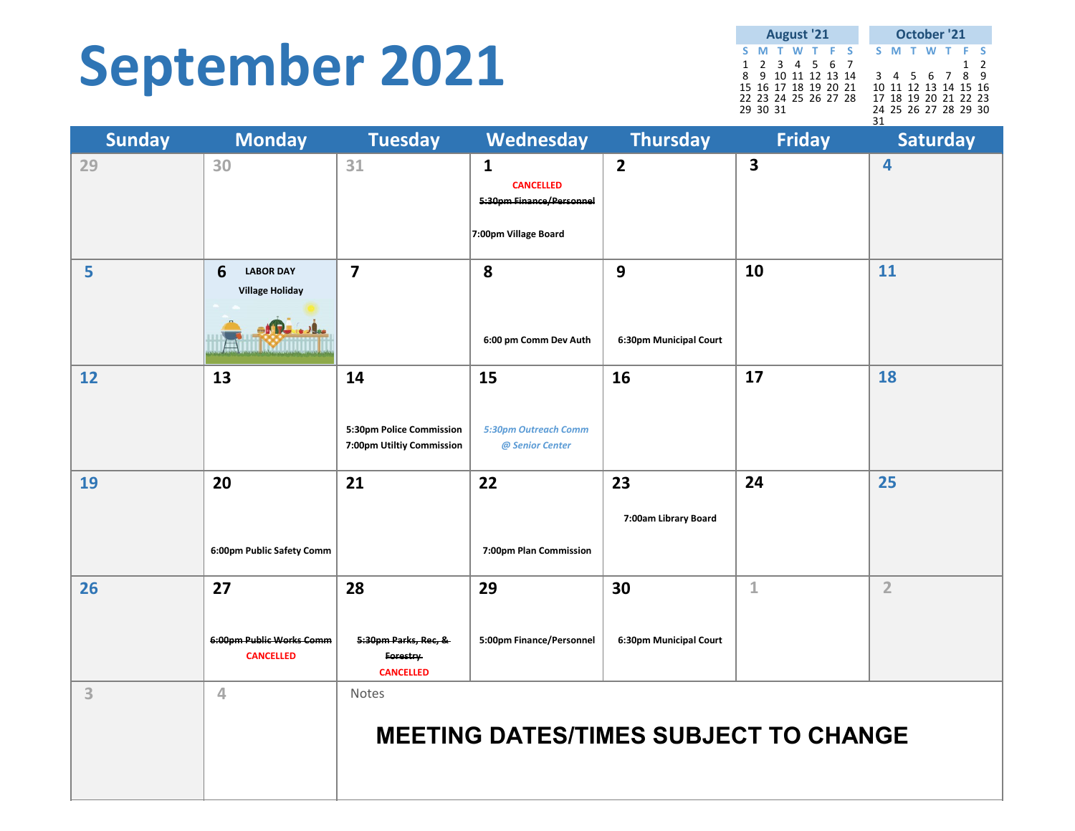## **September 2021**

**SMTWT F S SMTWT F S** 1234567 12 8 9 10 11 12 13 14 3 4 5 6 7 8 9 15 16 17 18 19 20 21 10 11 12 13 14 15 16 22 23 24 25 26 27 28 17 18 19 20 21 22 23 29 30 31 24 25 26 27 28 29 30 31**August '21 October '21**

| <b>Sunday</b> | <b>Monday</b>                                      | <b>Tuesday</b>                                              | Wednesday                                                                            | <b>Thursday</b>              | <b>Friday</b>           | Saturday                |
|---------------|----------------------------------------------------|-------------------------------------------------------------|--------------------------------------------------------------------------------------|------------------------------|-------------------------|-------------------------|
| 29            | 30                                                 | 31                                                          | $\mathbf{1}$<br><b>CANCELLED</b><br>5:30pm Finance/Personnel<br>7:00pm Village Board | $\overline{2}$               | $\overline{\mathbf{3}}$ | $\overline{\mathbf{4}}$ |
| 5             | 6<br><b>LABOR DAY</b><br><b>Village Holiday</b>    | $\overline{7}$                                              | 8<br>6:00 pm Comm Dev Auth                                                           | 9<br>6:30pm Municipal Court  | 10                      | 11                      |
| 12            | 13                                                 | 14<br>5:30pm Police Commission<br>7:00pm Utiltiy Commission | 15<br>5:30pm Outreach Comm<br>@ Senior Center                                        | 16                           | 17                      | 18                      |
| 19            | 20<br>6:00pm Public Safety Comm                    | 21                                                          | 22<br>7:00pm Plan Commission                                                         | 23<br>7:00am Library Board   | 24                      | 25                      |
| 26            | 27<br>6:00pm Public Works Comm<br><b>CANCELLED</b> | 28<br>5:30pm Parks, Rec, &<br>Forestry<br><b>CANCELLED</b>  | 29<br>5:00pm Finance/Personnel                                                       | 30<br>6:30pm Municipal Court | $\mathbf{1}$            | $\overline{2}$          |
| 3             | $\overline{4}$                                     | Notes                                                       | <b>MEETING DATES/TIMES SUBJECT TO CHANGE</b>                                         |                              |                         |                         |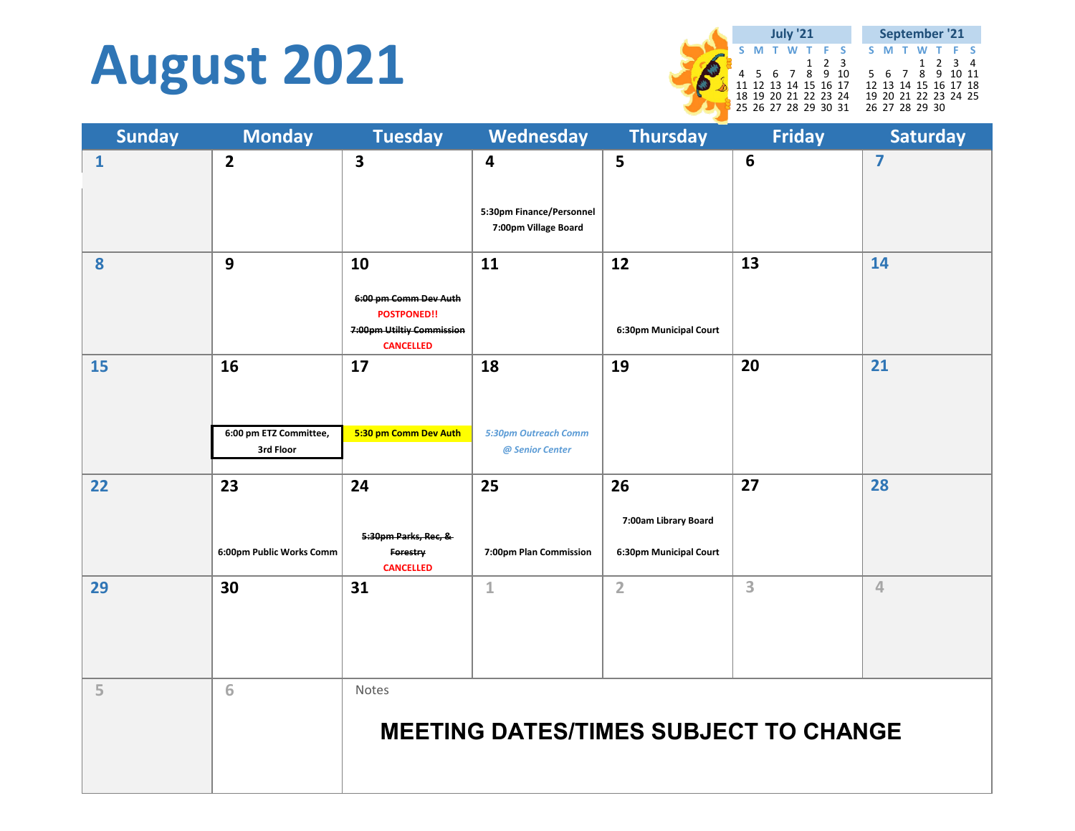## **August 2021**

|                      | <b>July '21</b> |                      |       |  |                      |  | September '21        |                 |  |
|----------------------|-----------------|----------------------|-------|--|----------------------|--|----------------------|-----------------|--|
|                      |                 | S M T W T F S        |       |  |                      |  | <b>SMTWTFS</b>       |                 |  |
|                      |                 |                      | 1 2 3 |  |                      |  |                      | $1 \t2 \t3 \t4$ |  |
|                      |                 | 4 5 6 7 8 9 10       |       |  |                      |  | 5 6 7 8 9 10 11      |                 |  |
| 11 12 13 14 15 16 17 |                 |                      |       |  | 12 13 14 15 16 17 18 |  |                      |                 |  |
|                      |                 | 18 19 20 21 22 23 24 |       |  |                      |  | 19 20 21 22 23 24 25 |                 |  |
|                      |                 | 25 26 27 28 29 30 31 |       |  | 26 27 28 29 30       |  |                      |                 |  |

| <b>Sunday</b> | <b>Monday</b>                             | <b>Tuesday</b>                                                                                     | Wednesday                                             | <b>Thursday</b>                                      | <b>Friday</b>                                | <b>Saturday</b>         |
|---------------|-------------------------------------------|----------------------------------------------------------------------------------------------------|-------------------------------------------------------|------------------------------------------------------|----------------------------------------------|-------------------------|
| $\mathbf{1}$  | $\overline{2}$                            | 3                                                                                                  | 4<br>5:30pm Finance/Personnel<br>7:00pm Village Board | 5                                                    | $6\phantom{1}$                               | $\overline{\mathbf{z}}$ |
| 8             | $\mathbf{9}$                              | 10<br>6:00 pm Comm Dev Auth<br><b>POSTPONED!!</b><br>7:00pm Utiltiy Commission<br><b>CANCELLED</b> | 11                                                    | 12<br>6:30pm Municipal Court                         | 13                                           | 14                      |
| 15            | 16<br>6:00 pm ETZ Committee,<br>3rd Floor | 17<br>5:30 pm Comm Dev Auth                                                                        | 18<br><b>5:30pm Outreach Comm</b><br>@ Senior Center  | 19                                                   | 20                                           | 21                      |
| 22            | 23<br>6:00pm Public Works Comm            | 24<br>5:30pm Parks, Rec, &<br>Forestry<br><b>CANCELLED</b>                                         | 25<br>7:00pm Plan Commission                          | 26<br>7:00am Library Board<br>6:30pm Municipal Court | 27                                           | 28                      |
| 29            | 30                                        | 31                                                                                                 | $\mathbf 1$                                           | $\overline{2}$                                       | 3                                            | $\overline{4}$          |
| 5             | 6                                         | Notes                                                                                              |                                                       |                                                      | <b>MEETING DATES/TIMES SUBJECT TO CHANGE</b> |                         |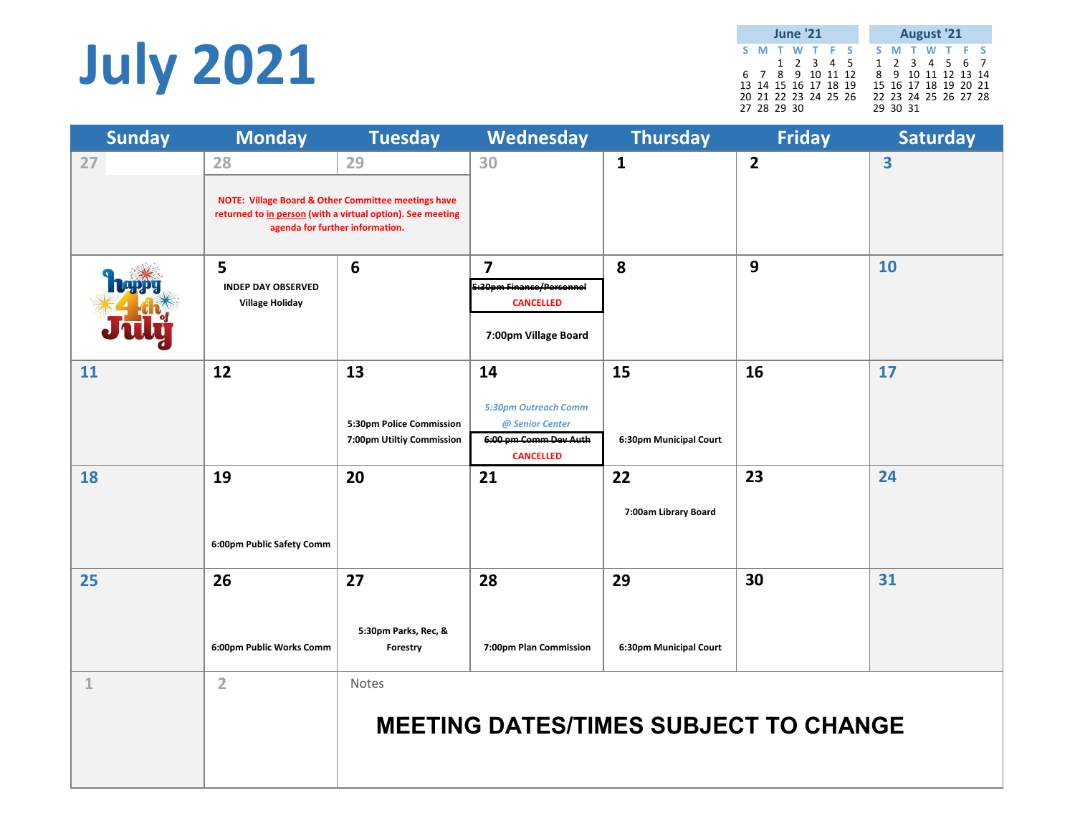# **July 2021**

**SMTWT F S SMTWT F S**12345 1234567 6 7 8 9 10 11 12 8 9 10 11 12 13 14 13 14 15 16 17 18 19 15 16 17 18 19 20 21 20 21 22 23 24 25 26 22 23 24 25 26 27 28 27 28 29 30 29 30 31**June'21 August '21**

| <b>Sunday</b> | <b>Monday</b>                                            | <b>Tuesday</b>                                                                                                          | Wednesday                                                                                         | <b>Thursday</b>              | <b>Friday</b>  | <b>Saturday</b>         |
|---------------|----------------------------------------------------------|-------------------------------------------------------------------------------------------------------------------------|---------------------------------------------------------------------------------------------------|------------------------------|----------------|-------------------------|
| 27            | 28<br>agenda for further information.                    | 29<br>NOTE: Village Board & Other Committee meetings have<br>returned to in person (with a virtual option). See meeting | 30                                                                                                | $\mathbf{1}$                 | $\overline{2}$ | $\overline{\mathbf{3}}$ |
|               | 5<br><b>INDEP DAY OBSERVED</b><br><b>Village Holiday</b> | 6                                                                                                                       | $\overline{7}$<br>5:30pm Finance/Personnel<br><b>CANCELLED</b><br>7:00pm Village Board            | 8                            | 9              | 10                      |
| 11            | 12                                                       | 13<br>5:30pm Police Commission<br>7:00pm Utiltiy Commission                                                             | 14<br><b>5:30pm Outreach Comm</b><br>@ Senior Center<br>6:00 pm Comm Dev Auth<br><b>CANCELLED</b> | 15<br>6:30pm Municipal Court | 16             | 17                      |
| 18            | 19<br>6:00pm Public Safety Comm                          | 20                                                                                                                      | 21                                                                                                | 22<br>7:00am Library Board   | 23             | 24                      |
| 25            | 26<br>6:00pm Public Works Comm                           | 27<br>5:30pm Parks, Rec, &<br>Forestry                                                                                  | 28<br>7:00pm Plan Commission                                                                      | 29<br>6:30pm Municipal Court | 30             | 31                      |
| $\mathbbm{1}$ | $\overline{2}$                                           | Notes                                                                                                                   | <b>MEETING DATES/TIMES SUBJECT TO CHANGE</b>                                                      |                              |                |                         |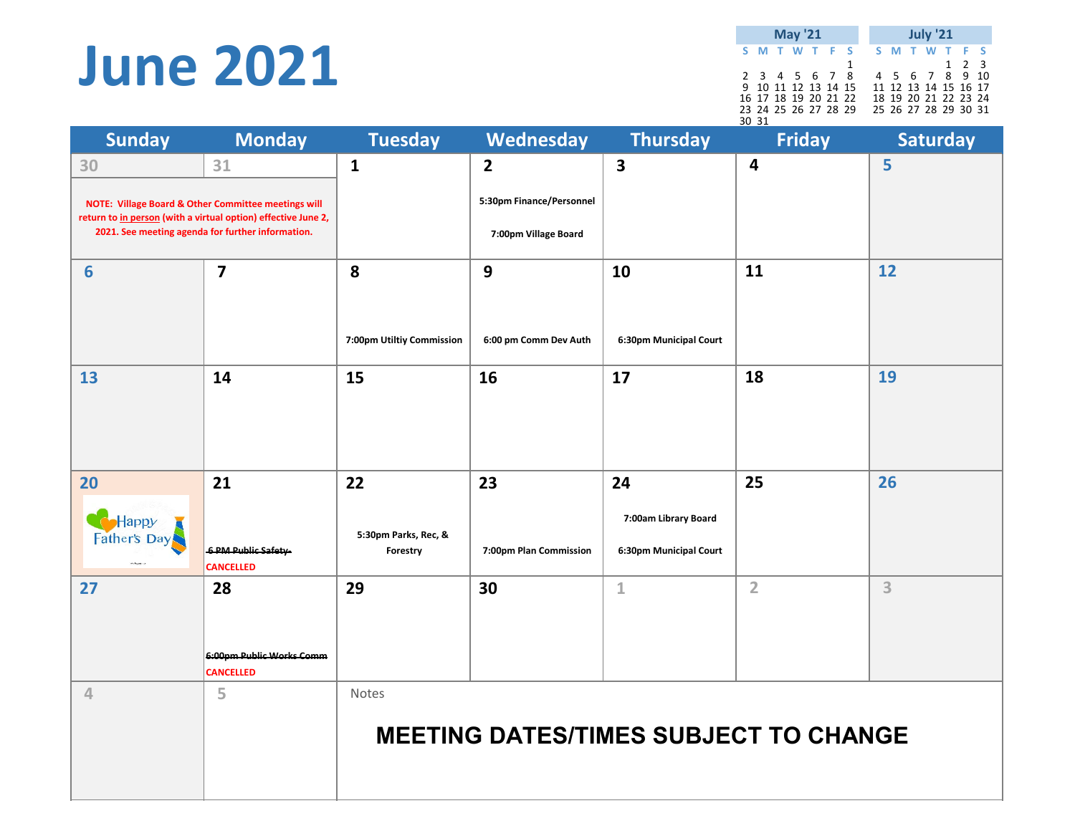#### **June 2021**

**SMTWT F S SMTWT F S** $T - F - S$ 2 3 4 5 6 7 8 4 5 6 7 8 9 10 2 3 4 5 6 7 8 4 5 6 7 8 9 10 9 10 11 12 13 14 15 11 12 13 14 15 16 17 16 17 18 19 20 21 22 18 19 20 21 22 23 24 23 24 25 26 27 28 29 25 26 27 28 29 30 31 30 31**May '21 July '21**

| <b>Sunday</b>               | <b>Monday</b>                                                                                                                                                                              | <b>Tuesday</b>                         | Wednesday                                                          | <b>Thursday</b>                                      | <b>Friday</b>                                | <b>Saturday</b> |
|-----------------------------|--------------------------------------------------------------------------------------------------------------------------------------------------------------------------------------------|----------------------------------------|--------------------------------------------------------------------|------------------------------------------------------|----------------------------------------------|-----------------|
| 30                          | 31<br><b>NOTE: Village Board &amp; Other Committee meetings will</b><br>return to in person (with a virtual option) effective June 2,<br>2021. See meeting agenda for further information. | $\mathbf{1}$                           | $\overline{2}$<br>5:30pm Finance/Personnel<br>7:00pm Village Board | 3                                                    | 4                                            | 5               |
| 6                           | $\overline{7}$                                                                                                                                                                             | 8<br>7:00pm Utiltiy Commission         | 9<br>6:00 pm Comm Dev Auth                                         | 10<br>6:30pm Municipal Court                         | 11                                           | 12              |
| 13                          | 14                                                                                                                                                                                         | 15                                     | 16                                                                 | 17                                                   | 18                                           | 19              |
| 20<br>Happy<br>Father's Day | 21<br><b>6 PM Public Safety</b><br><b>CANCELLED</b>                                                                                                                                        | 22<br>5:30pm Parks, Rec, &<br>Forestry | 23<br>7:00pm Plan Commission                                       | 24<br>7:00am Library Board<br>6:30pm Municipal Court | 25                                           | 26              |
| 27                          | 28<br>6:00pm Public Works Comm<br><b>CANCELLED</b>                                                                                                                                         | 29                                     | 30                                                                 | $\mathbf{1}$                                         | $\overline{2}$                               | 3               |
| $\overline{4}$              | 5                                                                                                                                                                                          | Notes                                  |                                                                    |                                                      | <b>MEETING DATES/TIMES SUBJECT TO CHANGE</b> |                 |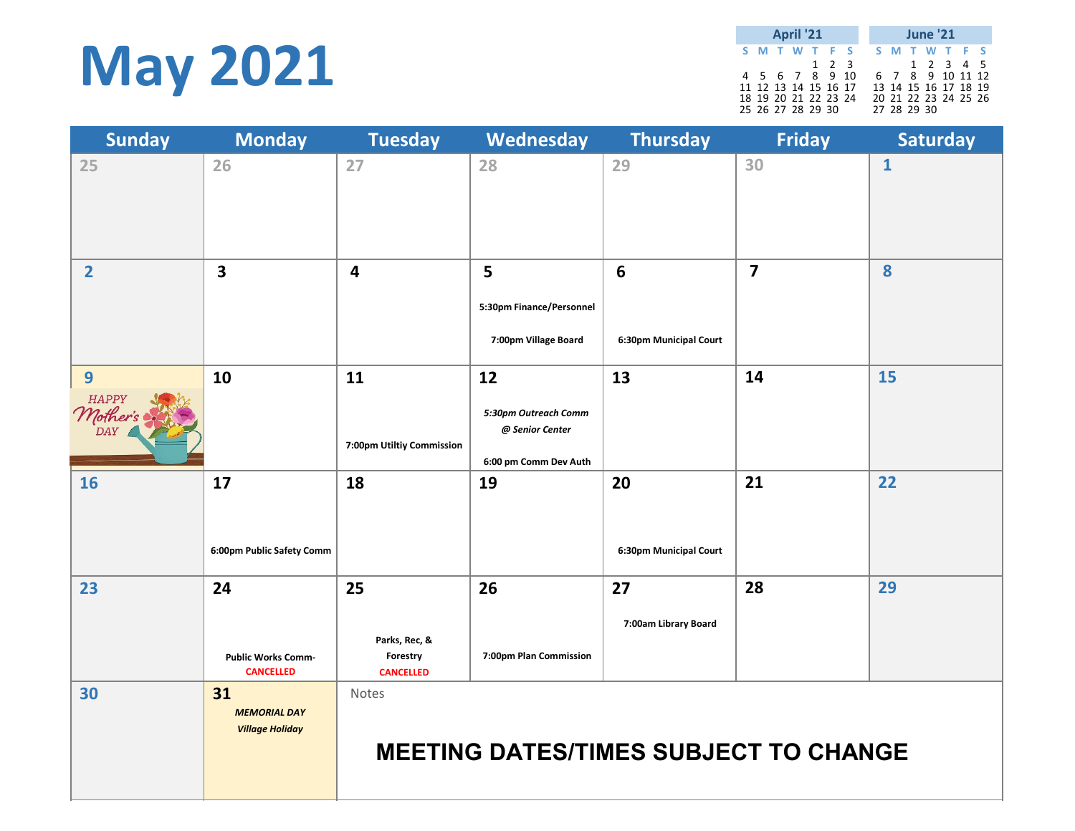## **May 2021**

|  | <b>April '21</b>     |  |       |  |             | <b>June '21</b>      |  |  |
|--|----------------------|--|-------|--|-------------|----------------------|--|--|
|  | S M T W T F S        |  |       |  |             | S M T W T F S        |  |  |
|  |                      |  | 1 2 3 |  |             | 1 2 3 4 5            |  |  |
|  | 4 5 6 7 8 9 10       |  |       |  |             | 6 7 8 9 10 11 12     |  |  |
|  | 11 12 13 14 15 16 17 |  |       |  |             | 13 14 15 16 17 18 19 |  |  |
|  | 18 19 20 21 22 23 24 |  |       |  |             | 20 21 22 23 24 25 26 |  |  |
|  | 25 26 27 28 29 30    |  |       |  | 27 28 29 30 |                      |  |  |

| <b>Sunday</b>                                                           | <b>Monday</b>                                       | <b>Tuesday</b>                                      | Wednesday                                                              | <b>Thursday</b>                          | <b>Friday</b>           | <b>Saturday</b> |
|-------------------------------------------------------------------------|-----------------------------------------------------|-----------------------------------------------------|------------------------------------------------------------------------|------------------------------------------|-------------------------|-----------------|
| 25                                                                      | 26                                                  | 27                                                  | 28                                                                     | 29                                       | 30                      | $\mathbf{1}$    |
| $\overline{2}$                                                          | 3                                                   | $\overline{4}$                                      | 5<br>5:30pm Finance/Personnel<br>7:00pm Village Board                  | $6\phantom{1}$<br>6:30pm Municipal Court | $\overline{\mathbf{z}}$ | 8               |
| 9<br>$\mathcal{M}_{\textit{other's}\atop\textit{DAY}}^{\textit{HAPPY}}$ | 10                                                  | 11<br>7:00pm Utiltiy Commission                     | 12<br>5:30pm Outreach Comm<br>@ Senior Center<br>6:00 pm Comm Dev Auth | 13                                       | 14                      | 15              |
| 16                                                                      | 17<br>6:00pm Public Safety Comm                     | 18                                                  | 19                                                                     | 20<br>6:30pm Municipal Court             | 21                      | 22              |
| 23                                                                      | 24<br><b>Public Works Comm-</b><br><b>CANCELLED</b> | 25<br>Parks, Rec, &<br>Forestry<br><b>CANCELLED</b> | 26<br>7:00pm Plan Commission                                           | 27<br>7:00am Library Board               | 28                      | 29              |
| 30                                                                      | 31<br><b>MEMORIAL DAY</b><br><b>Village Holiday</b> | Notes                                               | <b>MEETING DATES/TIMES SUBJECT TO CHANGE</b>                           |                                          |                         |                 |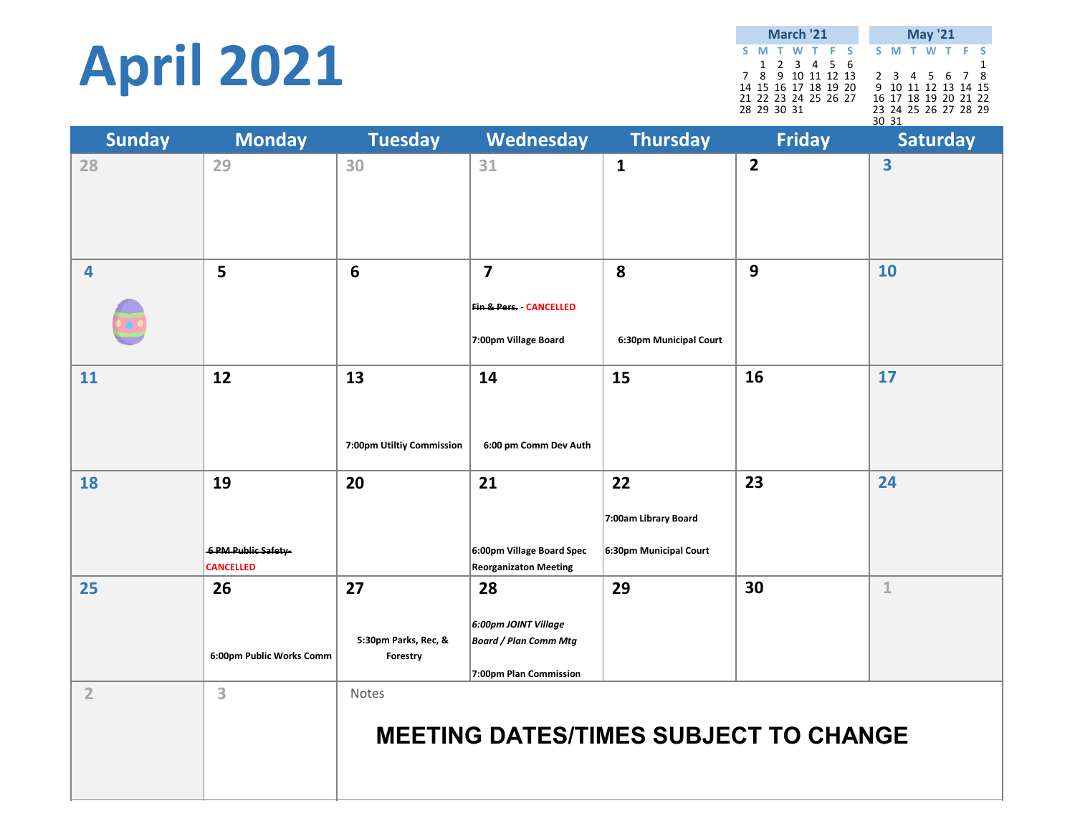# **April 2021**

**SMTWT F S SMTWT F S** 123456 1 7 8 9 10 11 12 13 2 3 4 5 6 7 8 14 15 16 17 18 19 20 9 10 11 12 13 14 1516 17 18 19 20 21 22 21 22 23 24 25 26 27 28 29 30 31 23 24 25 26 27 28 29 30 31**March'21 May '21**

| <b>Sunday</b>           | <b>Monday</b>                                | <b>Tuesday</b>                         | Wednesday                                                                             |                                                      | <b>Friday</b>  | Saturday     |
|-------------------------|----------------------------------------------|----------------------------------------|---------------------------------------------------------------------------------------|------------------------------------------------------|----------------|--------------|
| 28                      | 29                                           | 30                                     | 31                                                                                    | $\mathbf{1}$                                         | $\overline{2}$ | 3            |
| $\overline{\mathbf{4}}$ | 5                                            | $6\phantom{1}6$                        | $\overline{\mathbf{z}}$<br><b>Fin &amp; Pers. - CANCELLED</b><br>7:00pm Village Board | 8<br>6:30pm Municipal Court                          | 9              | 10           |
| 11                      | 12                                           | 13<br>7:00pm Utiltiy Commission        | 14<br>6:00 pm Comm Dev Auth                                                           | 15                                                   | 16             | 17           |
| 18                      | 19<br>6 PM Public Safety<br><b>CANCELLED</b> | 20                                     | 21<br>6:00pm Village Board Spec<br><b>Reorganizaton Meeting</b>                       | 22<br>7:00am Library Board<br>6:30pm Municipal Court | 23             | 24           |
| 25                      | 26<br>6:00pm Public Works Comm               | 27<br>5:30pm Parks, Rec, &<br>Forestry | 28<br>6:00pm JOINT Village<br><b>Board / Plan Comm Mtg</b><br>7:00pm Plan Commission  | 29                                                   | 30             | $\mathbf{1}$ |
| $\overline{2}$          | 3                                            | Notes                                  |                                                                                       | <b>MEETING DATES/TIMES SUBJECT TO CHANGE</b>         |                |              |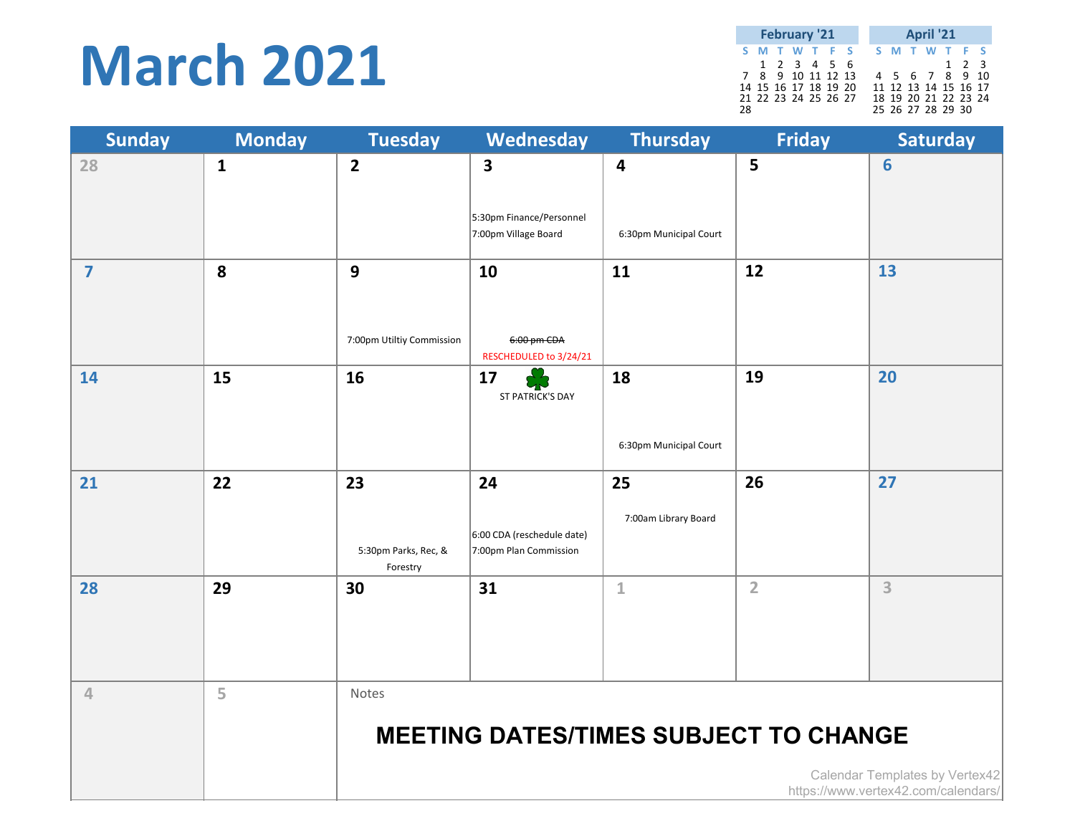## **March 2021**

|    | <b>February '21</b> |                      |  |  |  |  | <b>April '21</b> |  |  |                      |       |  |  |
|----|---------------------|----------------------|--|--|--|--|------------------|--|--|----------------------|-------|--|--|
|    |                     | S M T W T F S        |  |  |  |  |                  |  |  | S M T W T F S        |       |  |  |
|    |                     | 1 2 3 4 5 6          |  |  |  |  |                  |  |  |                      | 1 2 3 |  |  |
|    |                     | 7 8 9 10 11 12 13    |  |  |  |  |                  |  |  | 4 5 6 7 8 9 10       |       |  |  |
|    |                     | 14 15 16 17 18 19 20 |  |  |  |  |                  |  |  | 11 12 13 14 15 16 17 |       |  |  |
|    |                     | 21 22 23 24 25 26 27 |  |  |  |  |                  |  |  | 18 19 20 21 22 23 24 |       |  |  |
| 28 |                     |                      |  |  |  |  |                  |  |  | 25 26 27 28 29 30    |       |  |  |

| <b>Sunday</b>           | <b>Monday</b> | <b>Tuesday</b>                            | Wednesday                                                  | <b>Thursday</b>                                   | <b>Friday</b>  | <b>Saturday</b>                     |
|-------------------------|---------------|-------------------------------------------|------------------------------------------------------------|---------------------------------------------------|----------------|-------------------------------------|
| 28                      | $\mathbf{1}$  | $\overline{2}$                            | 3<br>5:30pm Finance/Personnel                              | $\overline{\mathbf{4}}$<br>6:30pm Municipal Court | 5              | 6                                   |
|                         |               |                                           | 7:00pm Village Board                                       |                                                   |                |                                     |
| $\overline{\mathbf{z}}$ | 8             | $\mathbf{9}$<br>7:00pm Utiltiy Commission | 10<br>6:00 pm CDA<br>RESCHEDULED to 3/24/21                | 11                                                | 12             | 13                                  |
| 14                      | 15            | 16                                        | 17<br>ST PATRICK'S DAY                                     | 18<br>6:30pm Municipal Court                      | 19             | 20                                  |
| 21                      | 22            | 23<br>5:30pm Parks, Rec, &<br>Forestry    | 24<br>6:00 CDA (reschedule date)<br>7:00pm Plan Commission | 25<br>7:00am Library Board                        | 26             | 27                                  |
| 28                      | 29            | 30                                        | 31                                                         | $\mathbf{1}$                                      | $\overline{2}$ | 3                                   |
| $\overline{4}$          | 5             | Notes                                     |                                                            | <b>MEETING DATES/TIMES SUBJECT TO CHANGE</b>      |                | Calendar Templates by Vertex42      |
|                         |               |                                           |                                                            |                                                   |                | https://www.vertex42.com/calendars/ |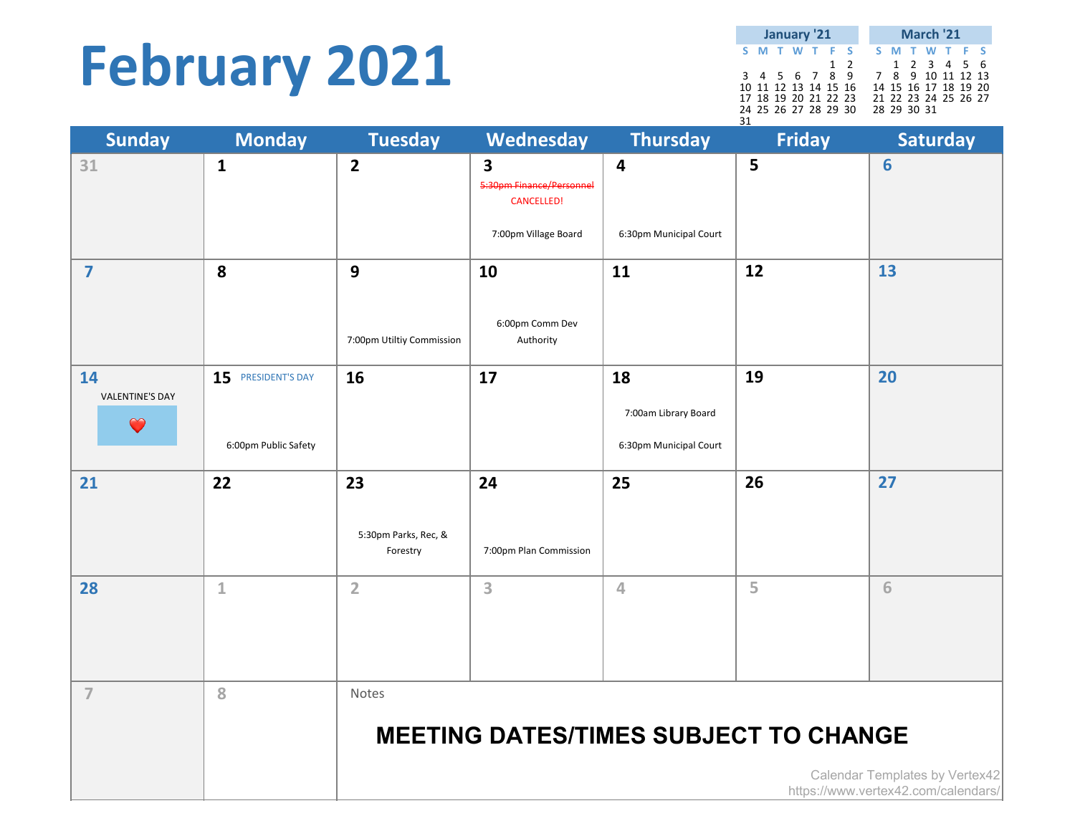## **February 2021**

**SMTWT F S SMTWT F S** 12 123456 3 4 5 6 7 8 9 7 8 9 10 11 12 13 10 11 12 13 14 15 16 14 15 16 17 18 19 20 17 18 19 20 21 22 23 21 22 23 24 25 26 27 24 25 26 27 28 29 30 28 29 30 31 31**January '21 March '21**

| <b>Sunday</b>                             | <b>Monday</b>                              | <b>Tuesday</b>                            | Wednesday                                                                  | <b>Thursday</b>                                      | <b>Friday</b>                                | <b>Saturday</b>                                                       |
|-------------------------------------------|--------------------------------------------|-------------------------------------------|----------------------------------------------------------------------------|------------------------------------------------------|----------------------------------------------|-----------------------------------------------------------------------|
| 31                                        | $\mathbf{1}$                               | $\overline{2}$                            | 3<br>5:30pm Finance/Personnel<br><b>CANCELLED!</b><br>7:00pm Village Board | 4<br>6:30pm Municipal Court                          | 5                                            | 6                                                                     |
| $\overline{\mathbf{z}}$                   | 8                                          | $\mathbf{9}$<br>7:00pm Utiltiy Commission | 10<br>6:00pm Comm Dev<br>Authority                                         | 11                                                   | 12                                           | 13                                                                    |
| 14<br><b>VALENTINE'S DAY</b><br>$\bullet$ | 15 PRESIDENT'S DAY<br>6:00pm Public Safety | 16                                        | 17                                                                         | 18<br>7:00am Library Board<br>6:30pm Municipal Court | 19                                           | 20                                                                    |
| 21                                        | 22                                         | 23<br>5:30pm Parks, Rec, &<br>Forestry    | 24<br>7:00pm Plan Commission                                               | 25                                                   | 26                                           | 27                                                                    |
| 28                                        | $\mathbf{1}$                               | $\overline{2}$                            | 3                                                                          | 4                                                    | 5                                            | 6                                                                     |
| $\overline{7}$                            | 8                                          | Notes                                     |                                                                            |                                                      | <b>MEETING DATES/TIMES SUBJECT TO CHANGE</b> | Calendar Templates by Vertex42<br>https://www.vertex42.com/calendars/ |